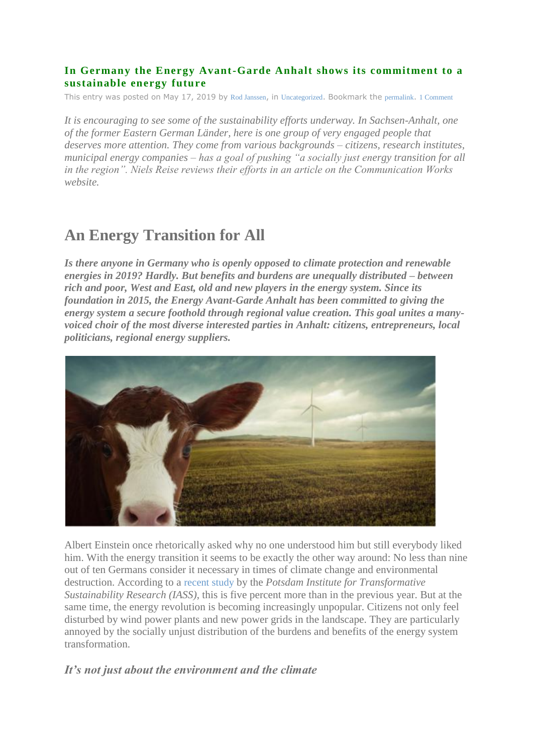### **In Germany the Energy Avant-Garde Anhalt shows its commitment to a sustainable energy future**

This entry was posted on May 17, 2019 by [Rod Janssen](https://energyindemand.com/author/rodjanssen/), in [Uncategorized](https://energyindemand.com/category/uncategorized/). Bookmark the [permalink](https://energyindemand.com/2019/05/17/in-germany-the-energy-avant-garde-anhalt-shows-its-commitment-to-a-sustainable-energy-future/). [1 Comment](https://energyindemand.com/2019/05/17/in-germany-the-energy-avant-garde-anhalt-shows-its-commitment-to-a-sustainable-energy-future/#comments)

*It is encouraging to see some of the sustainability efforts underway. In Sachsen-Anhalt, one of the former Eastern German Länder, here is one group of very engaged people that deserves more attention. They come from various backgrounds – citizens, research institutes, municipal energy companies – has a goal of pushing "a socially just energy transition for all in the region". Niels Reise reviews their efforts in an article on the Communication Works website.*

# **An Energy Transition for All**

*Is there anyone in Germany who is openly opposed to climate protection and renewable energies in 2019? Hardly. But benefits and burdens are unequally distributed – between rich and poor, West and East, old and new players in the energy system. Since its foundation in 2015, the Energy Avant-Garde Anhalt has been committed to giving the energy system a secure foothold through regional value creation. This goal unites a manyvoiced choir of the most diverse interested parties in Anhalt: citizens, entrepreneurs, local politicians, regional energy suppliers.*



Albert Einstein once rhetorically asked why no one understood him but still everybody liked him. With the energy transition it seems to be exactly the other way around: No less than nine out of ten Germans consider it necessary in times of climate change and environmental destruction. According to a [recent study](https://www.iass-potsdam.de/en/barometer) by the *Potsdam Institute for Transformative Sustainability Research (IASS)*, this is five percent more than in the previous year. But at the same time, the energy revolution is becoming increasingly unpopular. Citizens not only feel disturbed by wind power plants and new power grids in the landscape. They are particularly annoyed by the socially unjust distribution of the burdens and benefits of the energy system transformation.

## *It's not just about the environment and the climate*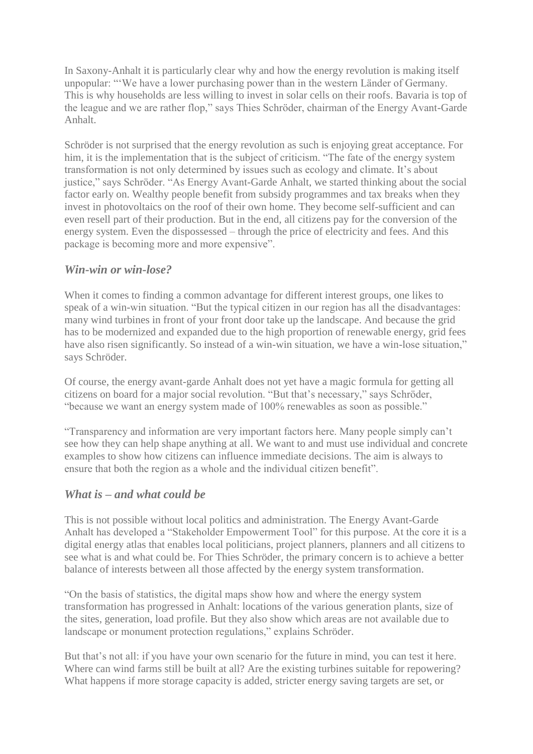In Saxony-Anhalt it is particularly clear why and how the energy revolution is making itself unpopular: "'We have a lower purchasing power than in the western Länder of Germany. This is why households are less willing to invest in solar cells on their roofs. Bavaria is top of the league and we are rather flop," says Thies Schröder, chairman of the Energy Avant-Garde Anhalt.

Schröder is not surprised that the energy revolution as such is enjoying great acceptance. For him, it is the implementation that is the subject of criticism. "The fate of the energy system transformation is not only determined by issues such as ecology and climate. It's about justice," says Schröder. "As Energy Avant-Garde Anhalt, we started thinking about the social factor early on. Wealthy people benefit from subsidy programmes and tax breaks when they invest in photovoltaics on the roof of their own home. They become self-sufficient and can even resell part of their production. But in the end, all citizens pay for the conversion of the energy system. Even the dispossessed – through the price of electricity and fees. And this package is becoming more and more expensive".

## *Win-win or win-lose?*

When it comes to finding a common advantage for different interest groups, one likes to speak of a win-win situation. "But the typical citizen in our region has all the disadvantages: many wind turbines in front of your front door take up the landscape. And because the grid has to be modernized and expanded due to the high proportion of renewable energy, grid fees have also risen significantly. So instead of a win-win situation, we have a win-lose situation," says Schröder.

Of course, the energy avant-garde Anhalt does not yet have a magic formula for getting all citizens on board for a major social revolution. "But that's necessary," says Schröder, "because we want an energy system made of 100% renewables as soon as possible."

"Transparency and information are very important factors here. Many people simply can't see how they can help shape anything at all. We want to and must use individual and concrete examples to show how citizens can influence immediate decisions. The aim is always to ensure that both the region as a whole and the individual citizen benefit".

#### *What is – and what could be*

This is not possible without local politics and administration. The Energy Avant-Garde Anhalt has developed a "Stakeholder Empowerment Tool" for this purpose. At the core it is a digital energy atlas that enables local politicians, project planners, planners and all citizens to see what is and what could be. For Thies Schröder, the primary concern is to achieve a better balance of interests between all those affected by the energy system transformation.

"On the basis of statistics, the digital maps show how and where the energy system transformation has progressed in Anhalt: locations of the various generation plants, size of the sites, generation, load profile. But they also show which areas are not available due to landscape or monument protection regulations," explains Schröder.

But that's not all: if you have your own scenario for the future in mind, you can test it here. Where can wind farms still be built at all? Are the existing turbines suitable for repowering? What happens if more storage capacity is added, stricter energy saving targets are set, or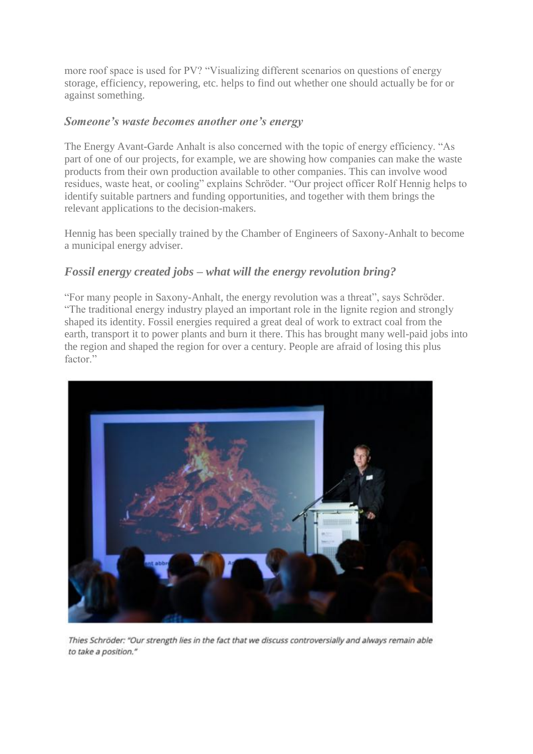more roof space is used for PV? "Visualizing different scenarios on questions of energy storage, efficiency, repowering, etc. helps to find out whether one should actually be for or against something.

## *Someone's waste becomes another one's energy*

The Energy Avant-Garde Anhalt is also concerned with the topic of energy efficiency. "As part of one of our projects, for example, we are showing how companies can make the waste products from their own production available to other companies. This can involve wood residues, waste heat, or cooling" explains Schröder. "Our project officer Rolf Hennig helps to identify suitable partners and funding opportunities, and together with them brings the relevant applications to the decision-makers.

Hennig has been specially trained by the Chamber of Engineers of Saxony-Anhalt to become a municipal energy adviser.

## *Fossil energy created jobs – what will the energy revolution bring?*

"For many people in Saxony-Anhalt, the energy revolution was a threat", says Schröder. "The traditional energy industry played an important role in the lignite region and strongly shaped its identity. Fossil energies required a great deal of work to extract coal from the earth, transport it to power plants and burn it there. This has brought many well-paid jobs into the region and shaped the region for over a century. People are afraid of losing this plus factor."



Thies Schröder: "Our strength lies in the fact that we discuss controversially and always remain able to take a position."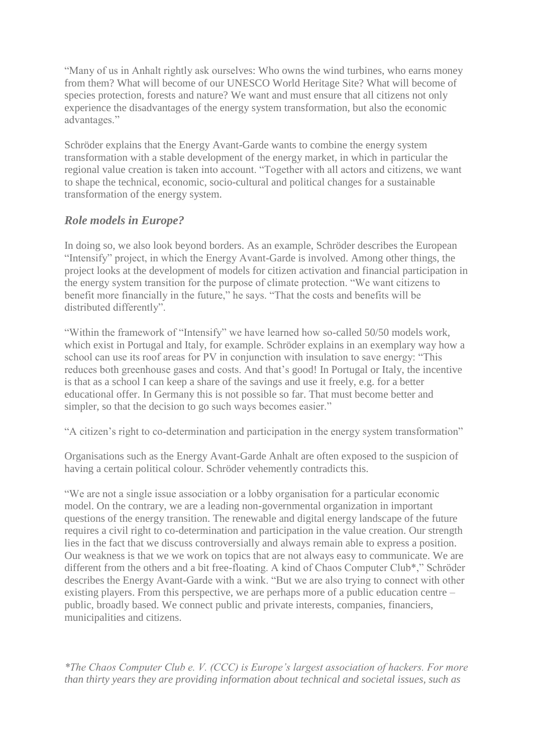"Many of us in Anhalt rightly ask ourselves: Who owns the wind turbines, who earns money from them? What will become of our UNESCO World Heritage Site? What will become of species protection, forests and nature? We want and must ensure that all citizens not only experience the disadvantages of the energy system transformation, but also the economic advantages."

Schröder explains that the Energy Avant-Garde wants to combine the energy system transformation with a stable development of the energy market, in which in particular the regional value creation is taken into account. "Together with all actors and citizens, we want to shape the technical, economic, socio-cultural and political changes for a sustainable transformation of the energy system.

# *Role models in Europe?*

In doing so, we also look beyond borders. As an example, Schröder describes the European "Intensify" project, in which the Energy Avant-Garde is involved. Among other things, the project looks at the development of models for citizen activation and financial participation in the energy system transition for the purpose of climate protection. "We want citizens to benefit more financially in the future," he says. "That the costs and benefits will be distributed differently".

"Within the framework of "Intensify" we have learned how so-called 50/50 models work, which exist in Portugal and Italy, for example. Schröder explains in an exemplary way how a school can use its roof areas for PV in conjunction with insulation to save energy: "This reduces both greenhouse gases and costs. And that's good! In Portugal or Italy, the incentive is that as a school I can keep a share of the savings and use it freely, e.g. for a better educational offer. In Germany this is not possible so far. That must become better and simpler, so that the decision to go such ways becomes easier."

"A citizen's right to co-determination and participation in the energy system transformation"

Organisations such as the Energy Avant-Garde Anhalt are often exposed to the suspicion of having a certain political colour. Schröder vehemently contradicts this.

"We are not a single issue association or a lobby organisation for a particular economic model. On the contrary, we are a leading non-governmental organization in important questions of the energy transition. The renewable and digital energy landscape of the future requires a civil right to co-determination and participation in the value creation. Our strength lies in the fact that we discuss controversially and always remain able to express a position. Our weakness is that we we work on topics that are not always easy to communicate. We are different from the others and a bit free-floating. A kind of Chaos Computer Club\*," Schröder describes the Energy Avant-Garde with a wink. "But we are also trying to connect with other existing players. From this perspective, we are perhaps more of a public education centre – public, broadly based. We connect public and private interests, companies, financiers, municipalities and citizens.

*\*The Chaos Computer Club e. V. (CCC) is Europe's largest association of hackers. For more than thirty years they are providing information about technical and societal issues, such as*